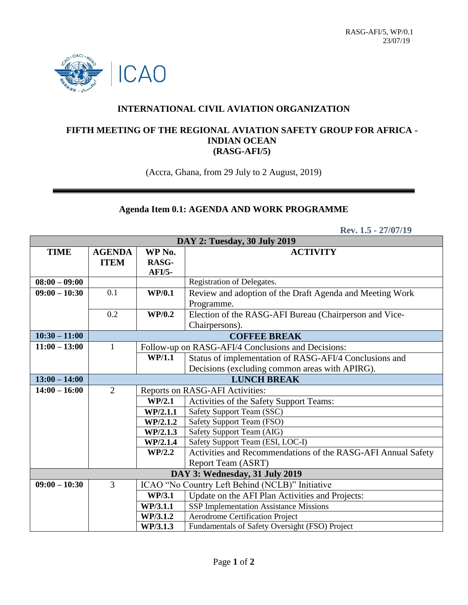

## **INTERNATIONAL CIVIL AVIATION ORGANIZATION**

## **FIFTH MEETING OF THE REGIONAL AVIATION SAFETY GROUP FOR AFRICA - INDIAN OCEAN (RASG-AFI/5)**

(Accra, Ghana, from 29 July to 2 August, 2019)

## **Agenda Item 0.1: AGENDA AND WORK PROGRAMME**

 **Rev. 1.5 - 27/07/19**

| DAY 2: Tuesday, 30 July 2019   |                     |                                                    |                                                              |  |
|--------------------------------|---------------------|----------------------------------------------------|--------------------------------------------------------------|--|
| <b>TIME</b>                    | <b>AGENDA</b>       | WP No.                                             | <b>ACTIVITY</b>                                              |  |
|                                | <b>ITEM</b>         | RASG-                                              |                                                              |  |
|                                |                     | $AFI/5-$                                           |                                                              |  |
| $08:00 - 09:00$                |                     |                                                    | Registration of Delegates.                                   |  |
| $09:00 - 10:30$                | 0.1                 | <b>WP/0.1</b>                                      | Review and adoption of the Draft Agenda and Meeting Work     |  |
|                                |                     |                                                    | Programme.                                                   |  |
|                                | 0.2                 | <b>WP/0.2</b>                                      | Election of the RASG-AFI Bureau (Chairperson and Vice-       |  |
|                                |                     |                                                    | Chairpersons).                                               |  |
| $10:30 - 11:00$                | <b>COFFEE BREAK</b> |                                                    |                                                              |  |
| $11:00 - 13:00$                | $\mathbf{1}$        | Follow-up on RASG-AFI/4 Conclusions and Decisions: |                                                              |  |
|                                |                     | WP/1.1                                             | Status of implementation of RASG-AFI/4 Conclusions and       |  |
|                                |                     |                                                    | Decisions (excluding common areas with APIRG).               |  |
| $13:00 - 14:00$                | <b>LUNCH BREAK</b>  |                                                    |                                                              |  |
| $14:00 - 16:00$                | $\overline{2}$      | Reports on RASG-AFI Activities:                    |                                                              |  |
|                                |                     | WP/2.1                                             | Activities of the Safety Support Teams:                      |  |
|                                |                     | WP/2.1.1                                           | Safety Support Team (SSC)                                    |  |
|                                |                     | WP/2.1.2                                           | Safety Support Team (FSO)                                    |  |
|                                |                     | WP/2.1.3                                           | Safety Support Team (AIG)                                    |  |
|                                |                     | WP/2.1.4                                           | Safety Support Team (ESI, LOC-I)                             |  |
|                                |                     | WP/2.2                                             | Activities and Recommendations of the RASG-AFI Annual Safety |  |
|                                |                     |                                                    | Report Team (ASRT)                                           |  |
| DAY 3: Wednesday, 31 July 2019 |                     |                                                    |                                                              |  |
| $09:00 - 10:30$                | 3                   |                                                    | ICAO "No Country Left Behind (NCLB)" Initiative              |  |
|                                |                     | <b>WP/3.1</b>                                      | Update on the AFI Plan Activities and Projects:              |  |
|                                |                     | WP/3.1.1                                           | SSP Implementation Assistance Missions                       |  |
|                                |                     | WP/3.1.2                                           | <b>Aerodrome Certification Project</b>                       |  |
|                                |                     | WP/3.1.3                                           | Fundamentals of Safety Oversight (FSO) Project               |  |